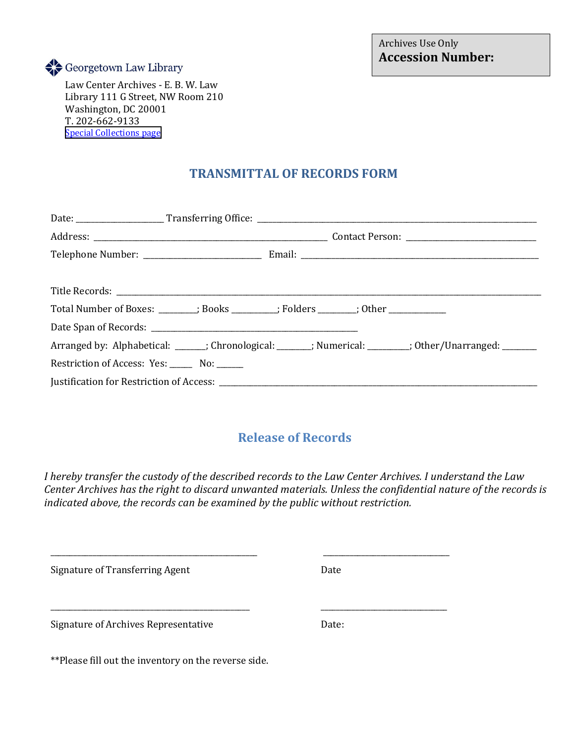

 Library 111 G Street, NW Room 210 Law Center Archives - E. B. W. Law Washington, DC 20001 T. 202-662-9133 [Special Collections page](https://dev.law.georgetown.edu/library/special-collections/)

## **TRANSMITTAL OF RECORDS FORM**

|                                               | Total Number of Boxes: _______; Books ________; Folders ______; Other __________                        |  |  |  |
|-----------------------------------------------|---------------------------------------------------------------------------------------------------------|--|--|--|
|                                               |                                                                                                         |  |  |  |
|                                               | Arranged by: Alphabetical: ______; Chronological: ______; Numerical: _______; Other/Unarranged: _______ |  |  |  |
| Restriction of Access: Yes: ______ No: ______ |                                                                                                         |  |  |  |
|                                               |                                                                                                         |  |  |  |

## **Release of Records**

*I hereby transfer the custody of the described records to the Law Center Archives. I understand the Law Center Archives has the right to discard unwanted materials. Unless the confidential nature of the records is indicated above, the records can be examined by the public without restriction.* 

| Signature of Transferring Agent                      | Date  |  |
|------------------------------------------------------|-------|--|
| Signature of Archives Representative                 | Date: |  |
| **Please fill out the inventory on the reverse side. |       |  |